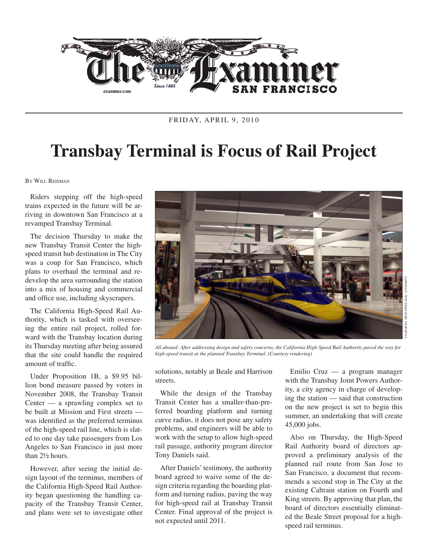

FRIDAY, APRIL 9, 2010

## **Transbay Terminal is Focus of Rail Project**

By Will Reisman

Riders stepping off the high-speed trains expected in the future will be arriving in downtown San Francisco at a revamped Transbay Terminal.

The decision Thursday to make the new Transbay Transit Center the highspeed transit hub destination in The City was a coup for San Francisco, which plans to overhaul the terminal and redevelop the area surrounding the station into a mix of housing and commercial and office use, including skyscrapers.

The California High-Speed Rail Authority, which is tasked with overseeing the entire rail project, rolled forward with the Transbay location during its Thursday meeting after being assured that the site could handle the required amount of traffic.

Under Proposition 1B, a \$9.95 billion bond measure passed by voters in November 2008, the Transbay Transit Center — a sprawling complex set to be built at Mission and First streets was identified as the preferred terminus of the high-speed rail line, which is slated to one day take passengers from Los Angeles to San Francisco in just more than 2½ hours.

However, after seeing the initial design layout of the terminus, members of the California High-Speed Rail Authority began questioning the handling capacity of the Transbay Transit Center, and plans were set to investigate other



*All aboard: After addressing design and safety concerns, the California High-Speed Rail Authority paved the way for high-speed transit at the planned Transbay Terminal. (Courtesy rendering)*

solutions, notably at Beale and Harrison streets.

While the design of the Transbay Transit Center has a smaller-than-preferred boarding platform and turning curve radius, it does not pose any safety problems, and engineers will be able to work with the setup to allow high-speed rail passage, authority program director Tony Daniels said.

After Daniels' testimony, the authority board agreed to waive some of the design criteria regarding the boarding platform and turning radius, paving the way for high-speed rail at Transbay Transit Center. Final approval of the project is not expected until 2011.

Emilio Cruz — a program manager with the Transbay Joint Powers Authority, a city agency in charge of developing the station — said that construction on the new project is set to begin this summer, an undertaking that will create 45,000 jobs.

Also on Thursday, the High-Speed Rail Authority board of directors approved a preliminary analysis of the planned rail route from San Jose to San Francisco, a document that recommends a second stop in The City at the existing Caltrain station on Fourth and King streets. By approving that plan, the board of directors essentially eliminated the Beale Street proposal for a highspeed rail terminus.